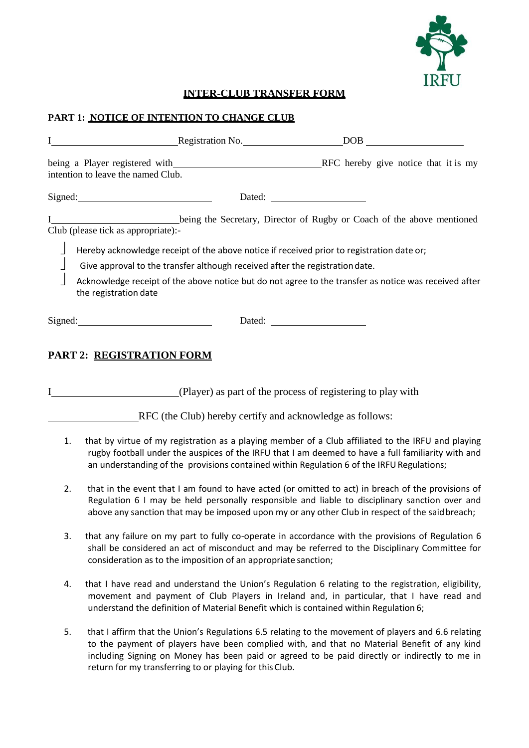

## **INTER-CLUB TRANSFER FORM**

## **PART 1: NOTICE OF INTENTION TO CHANGE CLUB**

|                                                                                                                                                                                                                                                                                                                                                                                                                              |                                                                      | Registration No. | DOB.                                 |  |
|------------------------------------------------------------------------------------------------------------------------------------------------------------------------------------------------------------------------------------------------------------------------------------------------------------------------------------------------------------------------------------------------------------------------------|----------------------------------------------------------------------|------------------|--------------------------------------|--|
|                                                                                                                                                                                                                                                                                                                                                                                                                              | being a Player registered with<br>intention to leave the named Club. |                  | RFC hereby give notice that it is my |  |
|                                                                                                                                                                                                                                                                                                                                                                                                                              | Signed:                                                              | Dated:           |                                      |  |
| being the Secretary, Director of Rugby or Coach of the above mentioned<br>Club (please tick as appropriate):-<br>Hereby acknowledge receipt of the above notice if received prior to registration date or;<br>Give approval to the transfer although received after the registration date.<br>Acknowledge receipt of the above notice but do not agree to the transfer as notice was received after<br>the registration date |                                                                      |                  |                                      |  |
| Signed:                                                                                                                                                                                                                                                                                                                                                                                                                      |                                                                      | Dated:           |                                      |  |

## **PART 2: REGISTRATION FORM**

I (Player) as part of the process of registering to play with

RFC (the Club) hereby certify and acknowledge as follows:

- 1. that by virtue of my registration as a playing member of a Club affiliated to the IRFU and playing rugby football under the auspices of the IRFU that I am deemed to have a full familiarity with and an understanding of the provisions contained within Regulation 6 of the IRFU Regulations;
- 2. that in the event that I am found to have acted (or omitted to act) in breach of the provisions of Regulation 6 I may be held personally responsible and liable to disciplinary sanction over and above any sanction that may be imposed upon my or any other Club in respect of the saidbreach;
- 3. that any failure on my part to fully co-operate in accordance with the provisions of Regulation 6 shall be considered an act of misconduct and may be referred to the Disciplinary Committee for consideration as to the imposition of an appropriate sanction;
- 4. that I have read and understand the Union's Regulation 6 relating to the registration, eligibility, movement and payment of Club Players in Ireland and, in particular, that I have read and understand the definition of Material Benefit which is contained within Regulation 6;
- 5. that I affirm that the Union's Regulations 6.5 relating to the movement of players and 6.6 relating to the payment of players have been complied with, and that no Material Benefit of any kind including Signing on Money has been paid or agreed to be paid directly or indirectly to me in return for my transferring to or playing for this Club.